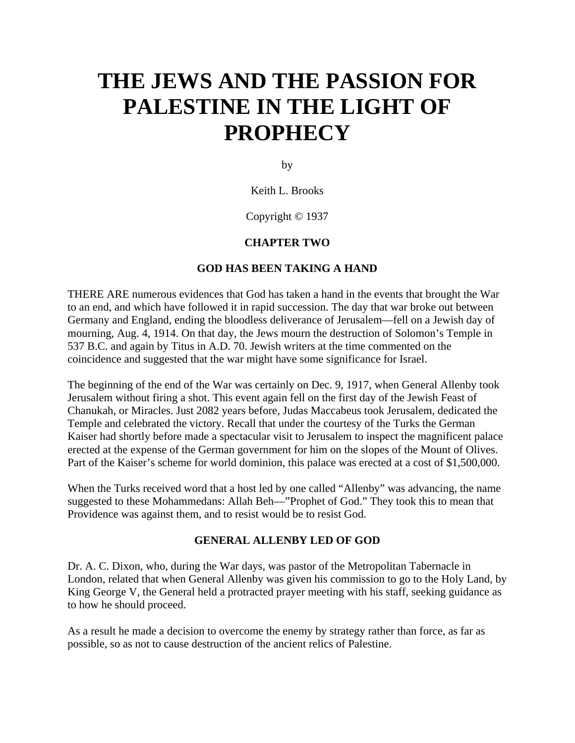# **THE JEWS AND THE PASSION FOR PALESTINE IN THE LIGHT OF PROPHECY**

by

## Keith L. Brooks

# Copyright © 1937

# **CHAPTER TWO**

## **GOD HAS BEEN TAKING A HAND**

THERE ARE numerous evidences that God has taken a hand in the events that brought the War to an end, and which have followed it in rapid succession. The day that war broke out between Germany and England, ending the bloodless deliverance of Jerusalem—fell on a Jewish day of mourning, Aug. 4, 1914. On that day, the Jews mourn the destruction of Solomon's Temple in 537 B.C. and again by Titus in A.D. 70. Jewish writers at the time commented on the coincidence and suggested that the war might have some significance for Israel.

The beginning of the end of the War was certainly on Dec. 9, 1917, when General Allenby took Jerusalem without firing a shot. This event again fell on the first day of the Jewish Feast of Chanukah, or Miracles. Just 2082 years before, Judas Maccabeus took Jerusalem, dedicated the Temple and celebrated the victory. Recall that under the courtesy of the Turks the German Kaiser had shortly before made a spectacular visit to Jerusalem to inspect the magnificent palace erected at the expense of the German government for him on the slopes of the Mount of Olives. Part of the Kaiser's scheme for world dominion, this palace was erected at a cost of \$1,500,000.

When the Turks received word that a host led by one called "Allenby" was advancing, the name suggested to these Mohammedans: Allah Beh—"Prophet of God." They took this to mean that Providence was against them, and to resist would be to resist God.

#### **GENERAL ALLENBY LED OF GOD**

Dr. A. C. Dixon, who, during the War days, was pastor of the Metropolitan Tabernacle in London, related that when General Allenby was given his commission to go to the Holy Land, by King George V, the General held a protracted prayer meeting with his staff, seeking guidance as to how he should proceed.

As a result he made a decision to overcome the enemy by strategy rather than force, as far as possible, so as not to cause destruction of the ancient relics of Palestine.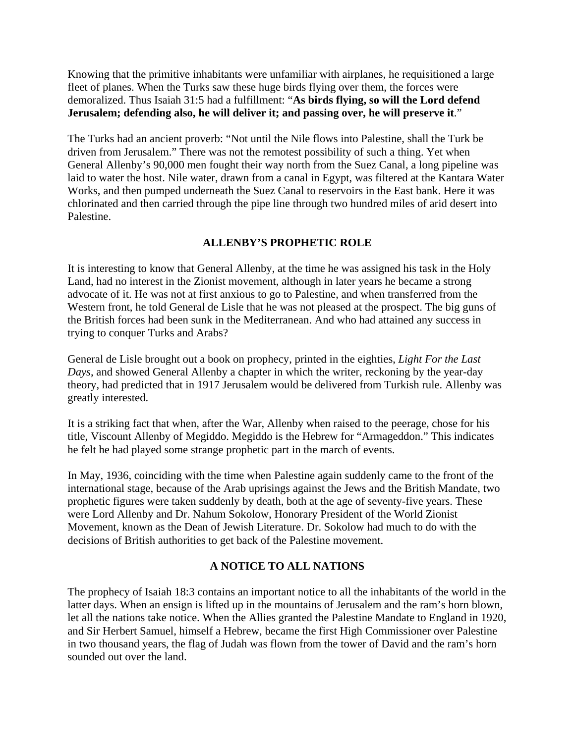Knowing that the primitive inhabitants were unfamiliar with airplanes, he requisitioned a large fleet of planes. When the Turks saw these huge birds flying over them, the forces were demoralized. Thus Isaiah 31:5 had a fulfillment: "**As birds flying, so will the Lord defend Jerusalem; defending also, he will deliver it; and passing over, he will preserve it**."

The Turks had an ancient proverb: "Not until the Nile flows into Palestine, shall the Turk be driven from Jerusalem." There was not the remotest possibility of such a thing. Yet when General Allenby's 90,000 men fought their way north from the Suez Canal, a long pipeline was laid to water the host. Nile water, drawn from a canal in Egypt, was filtered at the Kantara Water Works, and then pumped underneath the Suez Canal to reservoirs in the East bank. Here it was chlorinated and then carried through the pipe line through two hundred miles of arid desert into Palestine.

# **ALLENBY'S PROPHETIC ROLE**

It is interesting to know that General Allenby, at the time he was assigned his task in the Holy Land, had no interest in the Zionist movement, although in later years he became a strong advocate of it. He was not at first anxious to go to Palestine, and when transferred from the Western front, he told General de Lisle that he was not pleased at the prospect. The big guns of the British forces had been sunk in the Mediterranean. And who had attained any success in trying to conquer Turks and Arabs?

General de Lisle brought out a book on prophecy, printed in the eighties, *Light For the Last Days*, and showed General Allenby a chapter in which the writer, reckoning by the year-day theory, had predicted that in 1917 Jerusalem would be delivered from Turkish rule. Allenby was greatly interested.

It is a striking fact that when, after the War, Allenby when raised to the peerage, chose for his title, Viscount Allenby of Megiddo. Megiddo is the Hebrew for "Armageddon." This indicates he felt he had played some strange prophetic part in the march of events.

In May, 1936, coinciding with the time when Palestine again suddenly came to the front of the international stage, because of the Arab uprisings against the Jews and the British Mandate, two prophetic figures were taken suddenly by death, both at the age of seventy-five years. These were Lord Allenby and Dr. Nahum Sokolow, Honorary President of the World Zionist Movement, known as the Dean of Jewish Literature. Dr. Sokolow had much to do with the decisions of British authorities to get back of the Palestine movement.

# **A NOTICE TO ALL NATIONS**

The prophecy of Isaiah 18:3 contains an important notice to all the inhabitants of the world in the latter days. When an ensign is lifted up in the mountains of Jerusalem and the ram's horn blown, let all the nations take notice. When the Allies granted the Palestine Mandate to England in 1920, and Sir Herbert Samuel, himself a Hebrew, became the first High Commissioner over Palestine in two thousand years, the flag of Judah was flown from the tower of David and the ram's horn sounded out over the land.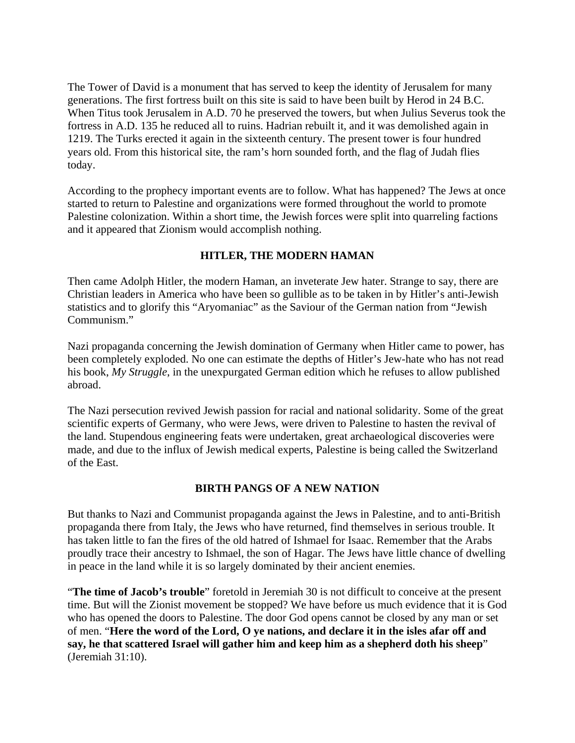The Tower of David is a monument that has served to keep the identity of Jerusalem for many generations. The first fortress built on this site is said to have been built by Herod in 24 B.C. When Titus took Jerusalem in A.D. 70 he preserved the towers, but when Julius Severus took the fortress in A.D. 135 he reduced all to ruins. Hadrian rebuilt it, and it was demolished again in 1219. The Turks erected it again in the sixteenth century. The present tower is four hundred years old. From this historical site, the ram's horn sounded forth, and the flag of Judah flies today.

According to the prophecy important events are to follow. What has happened? The Jews at once started to return to Palestine and organizations were formed throughout the world to promote Palestine colonization. Within a short time, the Jewish forces were split into quarreling factions and it appeared that Zionism would accomplish nothing.

# **HITLER, THE MODERN HAMAN**

Then came Adolph Hitler, the modern Haman, an inveterate Jew hater. Strange to say, there are Christian leaders in America who have been so gullible as to be taken in by Hitler's anti-Jewish statistics and to glorify this "Aryomaniac" as the Saviour of the German nation from "Jewish Communism."

Nazi propaganda concerning the Jewish domination of Germany when Hitler came to power, has been completely exploded. No one can estimate the depths of Hitler's Jew-hate who has not read his book, *My Struggle*, in the unexpurgated German edition which he refuses to allow published abroad.

The Nazi persecution revived Jewish passion for racial and national solidarity. Some of the great scientific experts of Germany, who were Jews, were driven to Palestine to hasten the revival of the land. Stupendous engineering feats were undertaken, great archaeological discoveries were made, and due to the influx of Jewish medical experts, Palestine is being called the Switzerland of the East.

# **BIRTH PANGS OF A NEW NATION**

But thanks to Nazi and Communist propaganda against the Jews in Palestine, and to anti-British propaganda there from Italy, the Jews who have returned, find themselves in serious trouble. It has taken little to fan the fires of the old hatred of Ishmael for Isaac. Remember that the Arabs proudly trace their ancestry to Ishmael, the son of Hagar. The Jews have little chance of dwelling in peace in the land while it is so largely dominated by their ancient enemies.

"**The time of Jacob's trouble**" foretold in Jeremiah 30 is not difficult to conceive at the present time. But will the Zionist movement be stopped? We have before us much evidence that it is God who has opened the doors to Palestine. The door God opens cannot be closed by any man or set of men. "**Here the word of the Lord, O ye nations, and declare it in the isles afar off and say, he that scattered Israel will gather him and keep him as a shepherd doth his sheep**" (Jeremiah 31:10).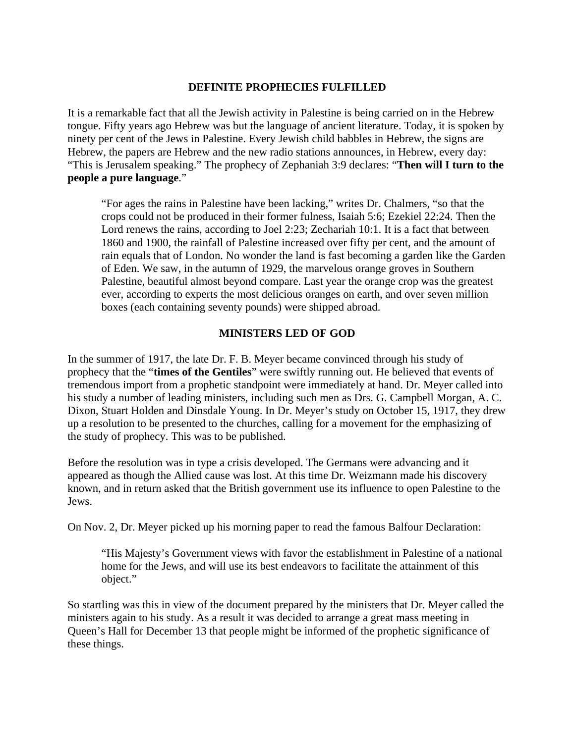#### **DEFINITE PROPHECIES FULFILLED**

It is a remarkable fact that all the Jewish activity in Palestine is being carried on in the Hebrew tongue. Fifty years ago Hebrew was but the language of ancient literature. Today, it is spoken by ninety per cent of the Jews in Palestine. Every Jewish child babbles in Hebrew, the signs are Hebrew, the papers are Hebrew and the new radio stations announces, in Hebrew, every day: "This is Jerusalem speaking." The prophecy of Zephaniah 3:9 declares: "**Then will I turn to the people a pure language**."

"For ages the rains in Palestine have been lacking," writes Dr. Chalmers, "so that the crops could not be produced in their former fulness, Isaiah 5:6; Ezekiel 22:24. Then the Lord renews the rains, according to Joel 2:23; Zechariah 10:1. It is a fact that between 1860 and 1900, the rainfall of Palestine increased over fifty per cent, and the amount of rain equals that of London. No wonder the land is fast becoming a garden like the Garden of Eden. We saw, in the autumn of 1929, the marvelous orange groves in Southern Palestine, beautiful almost beyond compare. Last year the orange crop was the greatest ever, according to experts the most delicious oranges on earth, and over seven million boxes (each containing seventy pounds) were shipped abroad.

#### **MINISTERS LED OF GOD**

In the summer of 1917, the late Dr. F. B. Meyer became convinced through his study of prophecy that the "**times of the Gentiles**" were swiftly running out. He believed that events of tremendous import from a prophetic standpoint were immediately at hand. Dr. Meyer called into his study a number of leading ministers, including such men as Drs. G. Campbell Morgan, A. C. Dixon, Stuart Holden and Dinsdale Young. In Dr. Meyer's study on October 15, 1917, they drew up a resolution to be presented to the churches, calling for a movement for the emphasizing of the study of prophecy. This was to be published.

Before the resolution was in type a crisis developed. The Germans were advancing and it appeared as though the Allied cause was lost. At this time Dr. Weizmann made his discovery known, and in return asked that the British government use its influence to open Palestine to the Jews.

On Nov. 2, Dr. Meyer picked up his morning paper to read the famous Balfour Declaration:

"His Majesty's Government views with favor the establishment in Palestine of a national home for the Jews, and will use its best endeavors to facilitate the attainment of this object."

So startling was this in view of the document prepared by the ministers that Dr. Meyer called the ministers again to his study. As a result it was decided to arrange a great mass meeting in Queen's Hall for December 13 that people might be informed of the prophetic significance of these things.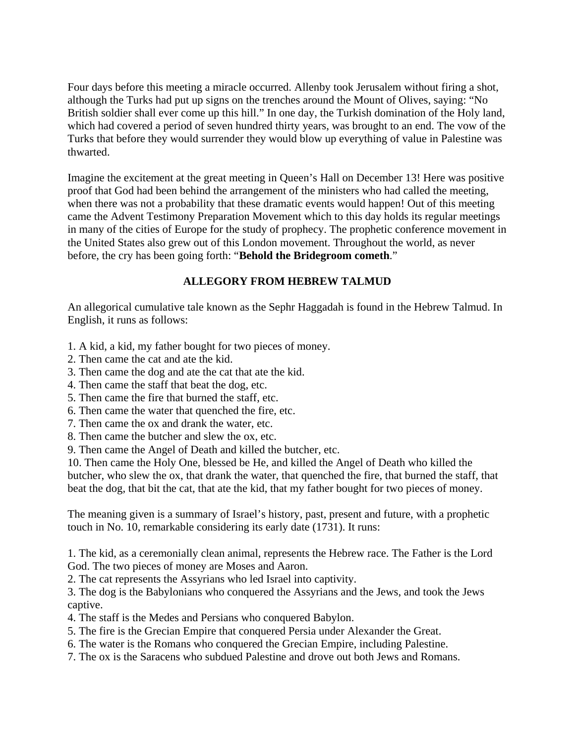Four days before this meeting a miracle occurred. Allenby took Jerusalem without firing a shot, although the Turks had put up signs on the trenches around the Mount of Olives, saying: "No British soldier shall ever come up this hill." In one day, the Turkish domination of the Holy land, which had covered a period of seven hundred thirty years, was brought to an end. The vow of the Turks that before they would surrender they would blow up everything of value in Palestine was thwarted.

Imagine the excitement at the great meeting in Queen's Hall on December 13! Here was positive proof that God had been behind the arrangement of the ministers who had called the meeting, when there was not a probability that these dramatic events would happen! Out of this meeting came the Advent Testimony Preparation Movement which to this day holds its regular meetings in many of the cities of Europe for the study of prophecy. The prophetic conference movement in the United States also grew out of this London movement. Throughout the world, as never before, the cry has been going forth: "**Behold the Bridegroom cometh**."

# **ALLEGORY FROM HEBREW TALMUD**

An allegorical cumulative tale known as the Sephr Haggadah is found in the Hebrew Talmud. In English, it runs as follows:

- 1. A kid, a kid, my father bought for two pieces of money.
- 2. Then came the cat and ate the kid.
- 3. Then came the dog and ate the cat that ate the kid.
- 4. Then came the staff that beat the dog, etc.
- 5. Then came the fire that burned the staff, etc.
- 6. Then came the water that quenched the fire, etc.
- 7. Then came the ox and drank the water, etc.
- 8. Then came the butcher and slew the ox, etc.
- 9. Then came the Angel of Death and killed the butcher, etc.

10. Then came the Holy One, blessed be He, and killed the Angel of Death who killed the butcher, who slew the ox, that drank the water, that quenched the fire, that burned the staff, that beat the dog, that bit the cat, that ate the kid, that my father bought for two pieces of money.

The meaning given is a summary of Israel's history, past, present and future, with a prophetic touch in No. 10, remarkable considering its early date (1731). It runs:

1. The kid, as a ceremonially clean animal, represents the Hebrew race. The Father is the Lord God. The two pieces of money are Moses and Aaron.

2. The cat represents the Assyrians who led Israel into captivity.

3. The dog is the Babylonians who conquered the Assyrians and the Jews, and took the Jews captive.

- 4. The staff is the Medes and Persians who conquered Babylon.
- 5. The fire is the Grecian Empire that conquered Persia under Alexander the Great.
- 6. The water is the Romans who conquered the Grecian Empire, including Palestine.
- 7. The ox is the Saracens who subdued Palestine and drove out both Jews and Romans.